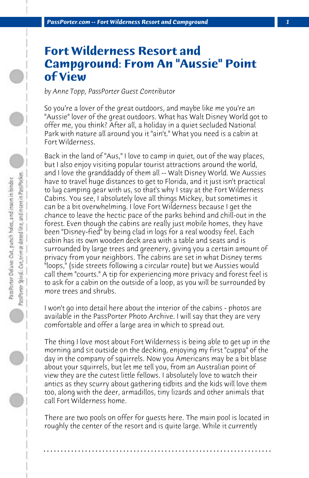## **Fort Wilderness Resort and Campground: From An "Aussie" Point of View**

*by Anne Topp, PassPorter Guest Contributor*

So you're a lover of the great outdoors, and maybe like me you're an "Aussie" lover of the great outdoors. What has Walt Disney World got to offer me, you think? After all, a holiday in a quiet secluded National Park with nature all around you it "ain't." What you need is a cabin at Fort Wilderness.

Back in the land of "Aus," I love to camp in quiet, out of the way places, but I also enjoy visiting popular tourist attractions around the world, and I love the granddaddy of them all -- Walt Disney World. We Aussies have to travel huge distances to get to Florida, and it just isn't practical to lug camping gear with us, so that's why I stay at the Fort Wilderness Cabins. You see, I absolutely love all things Mickey, but sometimes it can be a bit overwhelming. I love Fort Wilderness because I get the chance to leave the hectic pace of the parks behind and chill-out in the forest. Even though the cabins are really just mobile homes, they have been "Disney-fied" by being clad in logs for a real woodsy feel. Each cabin has its own wooden deck area with a table and seats and is surrounded by large trees and greenery, giving you a certain amount of privacy from your neighbors. The cabins are set in what Disney terms "loops," (side streets following a circular route) but we Aussies would call them "courts." A tip for experiencing more privacy and forest feel is to ask for a cabin on the outside of a loop, as you will be surrounded by more trees and shrubs.

I won't go into detail here about the interior of the cabins - photos are available in the PassPorter Photo Archive. I will say that they are very comfortable and offer a large area in which to spread out.

The thing I love most about Fort Wilderness is being able to get up in the morning and sit outside on the decking, enjoying my first "cuppa" of the day in the company of squirrels. Now you Americans may be a bit blase about your squirrels, but let me tell you, from an Australian point of view they are the cutest little fellows. I absolutely love to watch their antics as they scurry about gathering tidbits and the kids will love them too, along with the deer, armadillos, tiny lizards and other animals that call Fort Wilderness home.

There are two pools on offer for guests here. The main pool is located in roughly the center of the resort and is quite large. While it currently

**. . . . . . . . . . . . . . . . . . . . . . . . . . . . . . . . . . . . . . . . . . . . . . . . . . . . . . . . . . . . . . . . . .**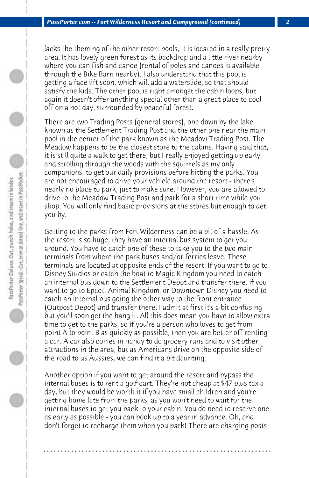lacks the theming of the other resort pools, it is located in a really pretty area. It has lovely green forest as its backdrop and a little river nearby where you can fish and canoe (rental of poles and canoes is available through the Bike Barn nearby). I also understand that this pool is getting a face lift soon, which will add a waterslide, so that should satisfy the kids. The other pool is right amongst the cabin loops, but again it doesn't offer anything special other than a great place to cool off on a hot day, surrounded by peaceful forest.

There are two Trading Posts (general stores), one down by the lake known as the Settlement Trading Post and the other one near the main pool in the center of the park known as the Meadow Trading Post. The Meadow happens to be the closest store to the cabins. Having said that, it is still quite a walk to get there, but I really enjoyed getting up early and strolling through the woods with the squirrels as my only companions, to get our daily provisions before hitting the parks. You are not encouraged to drive your vehicle around the resort - there's nearly no place to park, just to make sure. However, you are allowed to drive to the Meadow Trading Post and park for a short time while you shop. You will only find basic provisions at the stores but enough to get you by.

Getting to the parks from Fort Wilderness can be a bit of a hassle. As the resort is so huge, they have an internal bus system to get you around. You have to catch one of these to take you to the two main terminals from where the park buses and/or ferries leave. These terminals are located at opposite ends of the resort. If you want to go to Disney Studios or catch the boat to Magic Kingdom you need to catch an internal bus down to the Settlement Depot and transfer there. if you want to go to Epcot, Animal Kingdom, or Downtown Disney you need to catch an internal bus going the other way to the front entrance (Outpost Depot) and transfer there. I admit at first it's a bit confusing but you'll soon get the hang it. All this does mean you have to allow extra time to get to the parks, so if you're a person who loves to get from point A to point B as quickly as possible, then you are better off renting a car. A car also comes in handy to do grocery runs and to visit other attractions in the area, but as Americans drive on the opposite side of the road to us Aussies, we can find it a bit daunting.

Another option if you want to get around the resort and bypass the internal buses is to rent a golf cart. They're not cheap at \$47 plus tax a day, but they would be worth it if you have small children and you're getting home late from the parks, as you won't need to wait for the internal buses to get you back to your cabin. You do need to reserve one as early as possible - you can book up to a year in advance. Oh, and don't forget to recharge them when you park! There are charging posts

**. . . . . . . . . . . . . . . . . . . . . . . . . . . . . . . . . . . . . . . . . . . . . . . . . . . . . . . . . . . . . . . . . .**